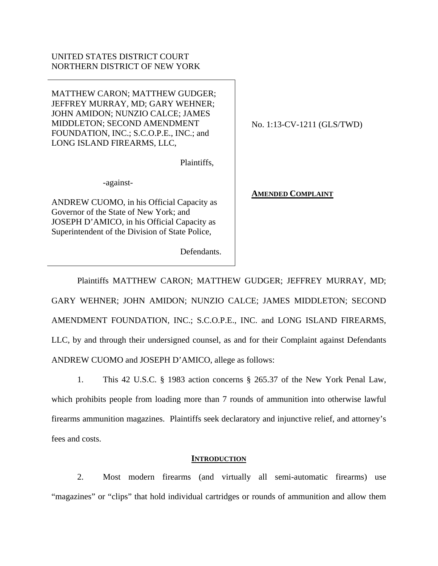# UNITED STATES DISTRICT COURT NORTHERN DISTRICT OF NEW YORK

MATTHEW CARON; MATTHEW GUDGER; JEFFREY MURRAY, MD; GARY WEHNER; JOHN AMIDON; NUNZIO CALCE; JAMES MIDDLETON; SECOND AMENDMENT FOUNDATION, INC.; S.C.O.P.E., INC.; and LONG ISLAND FIREARMS, LLC,

Plaintiffs,

-against-

ANDREW CUOMO, in his Official Capacity as Governor of the State of New York; and JOSEPH D'AMICO, in his Official Capacity as Superintendent of the Division of State Police,

Defendants.

No. 1:13-CV-1211 (GLS/TWD)

**AMENDED COMPLAINT**

Plaintiffs MATTHEW CARON; MATTHEW GUDGER; JEFFREY MURRAY, MD; GARY WEHNER; JOHN AMIDON; NUNZIO CALCE; JAMES MIDDLETON; SECOND AMENDMENT FOUNDATION, INC.; S.C.O.P.E., INC. and LONG ISLAND FIREARMS, LLC, by and through their undersigned counsel, as and for their Complaint against Defendants ANDREW CUOMO and JOSEPH D'AMICO, allege as follows:

1. This 42 U.S.C. § 1983 action concerns § 265.37 of the New York Penal Law, which prohibits people from loading more than 7 rounds of ammunition into otherwise lawful firearms ammunition magazines. Plaintiffs seek declaratory and injunctive relief, and attorney's fees and costs.

# **INTRODUCTION**

2. Most modern firearms (and virtually all semi-automatic firearms) use "magazines" or "clips" that hold individual cartridges or rounds of ammunition and allow them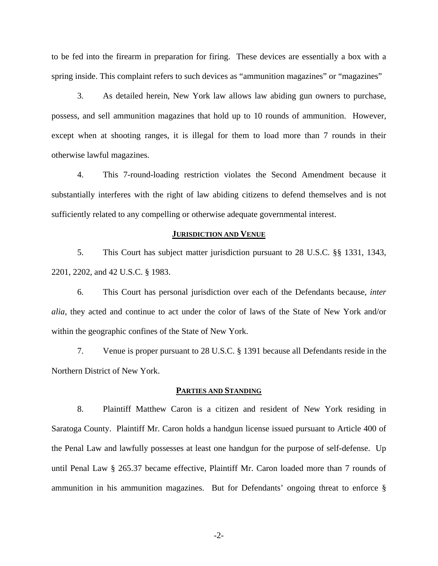to be fed into the firearm in preparation for firing. These devices are essentially a box with a spring inside. This complaint refers to such devices as "ammunition magazines" or "magazines"

3. As detailed herein, New York law allows law abiding gun owners to purchase, possess, and sell ammunition magazines that hold up to 10 rounds of ammunition. However, except when at shooting ranges, it is illegal for them to load more than 7 rounds in their otherwise lawful magazines.

4. This 7-round-loading restriction violates the Second Amendment because it substantially interferes with the right of law abiding citizens to defend themselves and is not sufficiently related to any compelling or otherwise adequate governmental interest.

### **JURISDICTION AND VENUE**

5. This Court has subject matter jurisdiction pursuant to 28 U.S.C. §§ 1331, 1343, 2201, 2202, and 42 U.S.C. § 1983.

6. This Court has personal jurisdiction over each of the Defendants because, *inter alia*, they acted and continue to act under the color of laws of the State of New York and/or within the geographic confines of the State of New York.

7. Venue is proper pursuant to 28 U.S.C. § 1391 because all Defendants reside in the Northern District of New York.

### **PARTIES AND STANDING**

8. Plaintiff Matthew Caron is a citizen and resident of New York residing in Saratoga County. Plaintiff Mr. Caron holds a handgun license issued pursuant to Article 400 of the Penal Law and lawfully possesses at least one handgun for the purpose of self-defense. Up until Penal Law § 265.37 became effective, Plaintiff Mr. Caron loaded more than 7 rounds of ammunition in his ammunition magazines. But for Defendants' ongoing threat to enforce §

-2-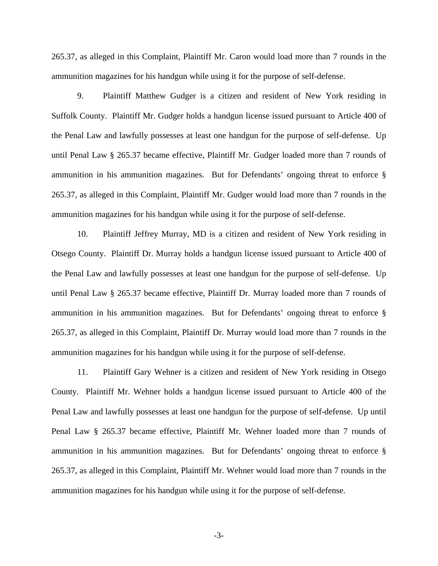265.37, as alleged in this Complaint, Plaintiff Mr. Caron would load more than 7 rounds in the ammunition magazines for his handgun while using it for the purpose of self-defense.

9. Plaintiff Matthew Gudger is a citizen and resident of New York residing in Suffolk County. Plaintiff Mr. Gudger holds a handgun license issued pursuant to Article 400 of the Penal Law and lawfully possesses at least one handgun for the purpose of self-defense. Up until Penal Law § 265.37 became effective, Plaintiff Mr. Gudger loaded more than 7 rounds of ammunition in his ammunition magazines. But for Defendants' ongoing threat to enforce § 265.37, as alleged in this Complaint, Plaintiff Mr. Gudger would load more than 7 rounds in the ammunition magazines for his handgun while using it for the purpose of self-defense.

10. Plaintiff Jeffrey Murray, MD is a citizen and resident of New York residing in Otsego County. Plaintiff Dr. Murray holds a handgun license issued pursuant to Article 400 of the Penal Law and lawfully possesses at least one handgun for the purpose of self-defense. Up until Penal Law § 265.37 became effective, Plaintiff Dr. Murray loaded more than 7 rounds of ammunition in his ammunition magazines. But for Defendants' ongoing threat to enforce § 265.37, as alleged in this Complaint, Plaintiff Dr. Murray would load more than 7 rounds in the ammunition magazines for his handgun while using it for the purpose of self-defense.

11. Plaintiff Gary Wehner is a citizen and resident of New York residing in Otsego County. Plaintiff Mr. Wehner holds a handgun license issued pursuant to Article 400 of the Penal Law and lawfully possesses at least one handgun for the purpose of self-defense. Up until Penal Law § 265.37 became effective, Plaintiff Mr. Wehner loaded more than 7 rounds of ammunition in his ammunition magazines. But for Defendants' ongoing threat to enforce § 265.37, as alleged in this Complaint, Plaintiff Mr. Wehner would load more than 7 rounds in the ammunition magazines for his handgun while using it for the purpose of self-defense.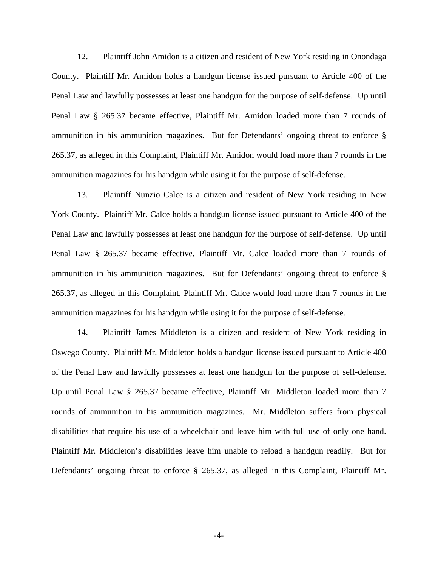12. Plaintiff John Amidon is a citizen and resident of New York residing in Onondaga County. Plaintiff Mr. Amidon holds a handgun license issued pursuant to Article 400 of the Penal Law and lawfully possesses at least one handgun for the purpose of self-defense. Up until Penal Law § 265.37 became effective, Plaintiff Mr. Amidon loaded more than 7 rounds of ammunition in his ammunition magazines. But for Defendants' ongoing threat to enforce § 265.37, as alleged in this Complaint, Plaintiff Mr. Amidon would load more than 7 rounds in the ammunition magazines for his handgun while using it for the purpose of self-defense.

13. Plaintiff Nunzio Calce is a citizen and resident of New York residing in New York County. Plaintiff Mr. Calce holds a handgun license issued pursuant to Article 400 of the Penal Law and lawfully possesses at least one handgun for the purpose of self-defense. Up until Penal Law § 265.37 became effective, Plaintiff Mr. Calce loaded more than 7 rounds of ammunition in his ammunition magazines. But for Defendants' ongoing threat to enforce § 265.37, as alleged in this Complaint, Plaintiff Mr. Calce would load more than 7 rounds in the ammunition magazines for his handgun while using it for the purpose of self-defense.

14. Plaintiff James Middleton is a citizen and resident of New York residing in Oswego County. Plaintiff Mr. Middleton holds a handgun license issued pursuant to Article 400 of the Penal Law and lawfully possesses at least one handgun for the purpose of self-defense. Up until Penal Law § 265.37 became effective, Plaintiff Mr. Middleton loaded more than 7 rounds of ammunition in his ammunition magazines. Mr. Middleton suffers from physical disabilities that require his use of a wheelchair and leave him with full use of only one hand. Plaintiff Mr. Middleton's disabilities leave him unable to reload a handgun readily. But for Defendants' ongoing threat to enforce § 265.37, as alleged in this Complaint, Plaintiff Mr.

-4-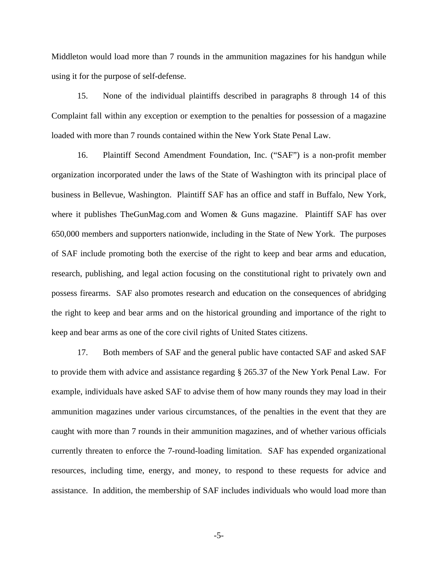Middleton would load more than 7 rounds in the ammunition magazines for his handgun while using it for the purpose of self-defense.

15. None of the individual plaintiffs described in paragraphs 8 through 14 of this Complaint fall within any exception or exemption to the penalties for possession of a magazine loaded with more than 7 rounds contained within the New York State Penal Law.

16. Plaintiff Second Amendment Foundation, Inc. ("SAF") is a non-profit member organization incorporated under the laws of the State of Washington with its principal place of business in Bellevue, Washington. Plaintiff SAF has an office and staff in Buffalo, New York, where it publishes TheGunMag.com and Women & Guns magazine. Plaintiff SAF has over 650,000 members and supporters nationwide, including in the State of New York. The purposes of SAF include promoting both the exercise of the right to keep and bear arms and education, research, publishing, and legal action focusing on the constitutional right to privately own and possess firearms. SAF also promotes research and education on the consequences of abridging the right to keep and bear arms and on the historical grounding and importance of the right to keep and bear arms as one of the core civil rights of United States citizens.

17. Both members of SAF and the general public have contacted SAF and asked SAF to provide them with advice and assistance regarding § 265.37 of the New York Penal Law. For example, individuals have asked SAF to advise them of how many rounds they may load in their ammunition magazines under various circumstances, of the penalties in the event that they are caught with more than 7 rounds in their ammunition magazines, and of whether various officials currently threaten to enforce the 7-round-loading limitation. SAF has expended organizational resources, including time, energy, and money, to respond to these requests for advice and assistance. In addition, the membership of SAF includes individuals who would load more than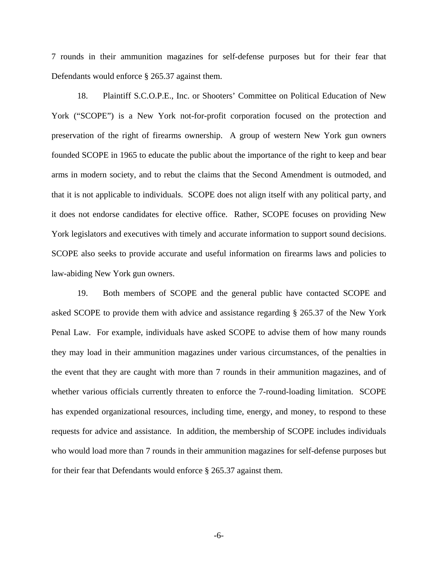7 rounds in their ammunition magazines for self-defense purposes but for their fear that Defendants would enforce § 265.37 against them.

18. Plaintiff S.C.O.P.E., Inc. or Shooters' Committee on Political Education of New York ("SCOPE") is a New York not-for-profit corporation focused on the protection and preservation of the right of firearms ownership. A group of western New York gun owners founded SCOPE in 1965 to educate the public about the importance of the right to keep and bear arms in modern society, and to rebut the claims that the Second Amendment is outmoded, and that it is not applicable to individuals. SCOPE does not align itself with any political party, and it does not endorse candidates for elective office. Rather, SCOPE focuses on providing New York legislators and executives with timely and accurate information to support sound decisions. SCOPE also seeks to provide accurate and useful information on firearms laws and policies to law-abiding New York gun owners.

19. Both members of SCOPE and the general public have contacted SCOPE and asked SCOPE to provide them with advice and assistance regarding § 265.37 of the New York Penal Law. For example, individuals have asked SCOPE to advise them of how many rounds they may load in their ammunition magazines under various circumstances, of the penalties in the event that they are caught with more than 7 rounds in their ammunition magazines, and of whether various officials currently threaten to enforce the 7-round-loading limitation. SCOPE has expended organizational resources, including time, energy, and money, to respond to these requests for advice and assistance. In addition, the membership of SCOPE includes individuals who would load more than 7 rounds in their ammunition magazines for self-defense purposes but for their fear that Defendants would enforce § 265.37 against them.

-6-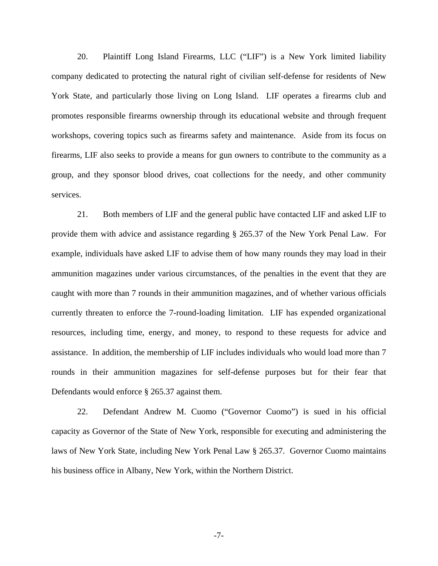20. Plaintiff Long Island Firearms, LLC ("LIF") is a New York limited liability company dedicated to protecting the natural right of civilian self-defense for residents of New York State, and particularly those living on Long Island. LIF operates a firearms club and promotes responsible firearms ownership through its educational website and through frequent workshops, covering topics such as firearms safety and maintenance. Aside from its focus on firearms, LIF also seeks to provide a means for gun owners to contribute to the community as a group, and they sponsor blood drives, coat collections for the needy, and other community services.

21. Both members of LIF and the general public have contacted LIF and asked LIF to provide them with advice and assistance regarding § 265.37 of the New York Penal Law. For example, individuals have asked LIF to advise them of how many rounds they may load in their ammunition magazines under various circumstances, of the penalties in the event that they are caught with more than 7 rounds in their ammunition magazines, and of whether various officials currently threaten to enforce the 7-round-loading limitation. LIF has expended organizational resources, including time, energy, and money, to respond to these requests for advice and assistance. In addition, the membership of LIF includes individuals who would load more than 7 rounds in their ammunition magazines for self-defense purposes but for their fear that Defendants would enforce § 265.37 against them.

22. Defendant Andrew M. Cuomo ("Governor Cuomo") is sued in his official capacity as Governor of the State of New York, responsible for executing and administering the laws of New York State, including New York Penal Law § 265.37. Governor Cuomo maintains his business office in Albany, New York, within the Northern District.

-7-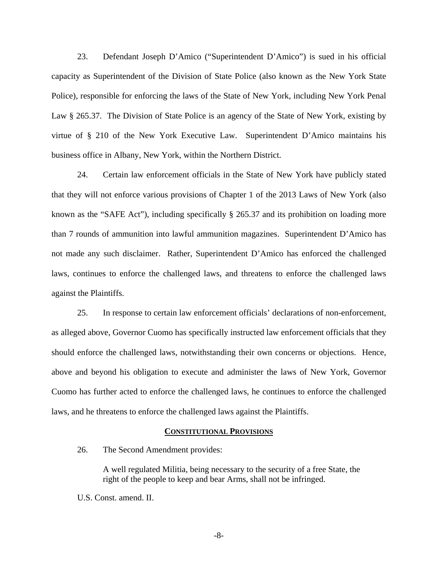23. Defendant Joseph D'Amico ("Superintendent D'Amico") is sued in his official capacity as Superintendent of the Division of State Police (also known as the New York State Police), responsible for enforcing the laws of the State of New York, including New York Penal Law § 265.37. The Division of State Police is an agency of the State of New York, existing by virtue of § 210 of the New York Executive Law. Superintendent D'Amico maintains his business office in Albany, New York, within the Northern District.

24. Certain law enforcement officials in the State of New York have publicly stated that they will not enforce various provisions of Chapter 1 of the 2013 Laws of New York (also known as the "SAFE Act"), including specifically § 265.37 and its prohibition on loading more than 7 rounds of ammunition into lawful ammunition magazines. Superintendent D'Amico has not made any such disclaimer. Rather, Superintendent D'Amico has enforced the challenged laws, continues to enforce the challenged laws, and threatens to enforce the challenged laws against the Plaintiffs.

25. In response to certain law enforcement officials' declarations of non-enforcement, as alleged above, Governor Cuomo has specifically instructed law enforcement officials that they should enforce the challenged laws, notwithstanding their own concerns or objections. Hence, above and beyond his obligation to execute and administer the laws of New York, Governor Cuomo has further acted to enforce the challenged laws, he continues to enforce the challenged laws, and he threatens to enforce the challenged laws against the Plaintiffs.

#### **CONSTITUTIONAL PROVISIONS**

26. The Second Amendment provides:

A well regulated Militia, being necessary to the security of a free State, the right of the people to keep and bear Arms, shall not be infringed.

U.S. Const. amend. II.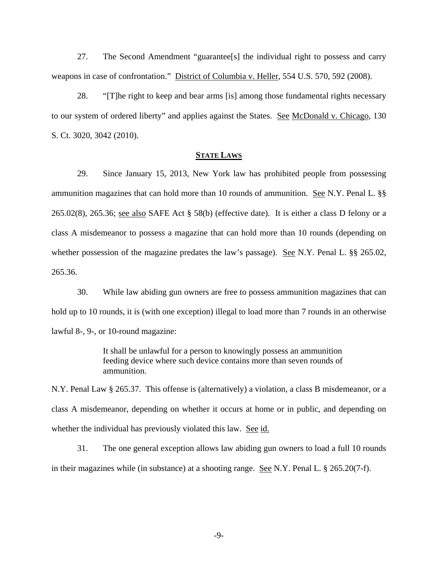27. The Second Amendment "guarantee[s] the individual right to possess and carry weapons in case of confrontation." District of Columbia v. Heller, 554 U.S. 570, 592 (2008).

28. "[T]he right to keep and bear arms [is] among those fundamental rights necessary to our system of ordered liberty" and applies against the States. See McDonald v. Chicago, 130 S. Ct. 3020, 3042 (2010).

## **STATE LAWS**

29. Since January 15, 2013, New York law has prohibited people from possessing ammunition magazines that can hold more than 10 rounds of ammunition. See N.Y. Penal L. §§ 265.02(8), 265.36; see also SAFE Act § 58(b) (effective date). It is either a class D felony or a class A misdemeanor to possess a magazine that can hold more than 10 rounds (depending on whether possession of the magazine predates the law's passage). See N.Y. Penal L. §§ 265.02, 265.36.

30. While law abiding gun owners are free to possess ammunition magazines that can hold up to 10 rounds, it is (with one exception) illegal to load more than 7 rounds in an otherwise lawful 8-, 9-, or 10-round magazine:

> It shall be unlawful for a person to knowingly possess an ammunition feeding device where such device contains more than seven rounds of ammunition.

N.Y. Penal Law § 265.37. This offense is (alternatively) a violation, a class B misdemeanor, or a class A misdemeanor, depending on whether it occurs at home or in public, and depending on whether the individual has previously violated this law. See id.

31. The one general exception allows law abiding gun owners to load a full 10 rounds in their magazines while (in substance) at a shooting range. See N.Y. Penal L. § 265.20(7-f).

-9-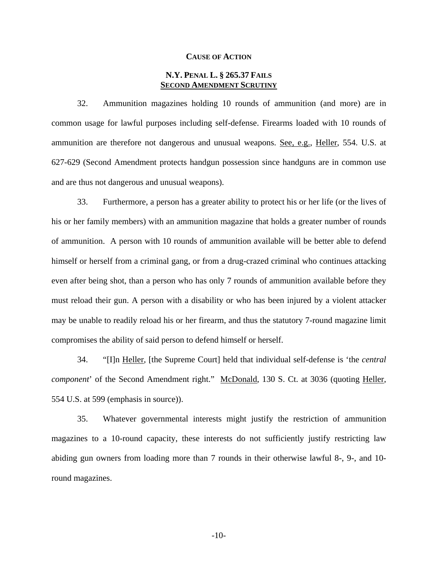#### **CAUSE OF ACTION**

# **N.Y. PENAL L. § 265.37 FAILS SECOND AMENDMENT SCRUTINY**

32. Ammunition magazines holding 10 rounds of ammunition (and more) are in common usage for lawful purposes including self-defense. Firearms loaded with 10 rounds of ammunition are therefore not dangerous and unusual weapons. See, e.g., Heller, 554. U.S. at 627-629 (Second Amendment protects handgun possession since handguns are in common use and are thus not dangerous and unusual weapons).

33. Furthermore, a person has a greater ability to protect his or her life (or the lives of his or her family members) with an ammunition magazine that holds a greater number of rounds of ammunition. A person with 10 rounds of ammunition available will be better able to defend himself or herself from a criminal gang, or from a drug-crazed criminal who continues attacking even after being shot, than a person who has only 7 rounds of ammunition available before they must reload their gun. A person with a disability or who has been injured by a violent attacker may be unable to readily reload his or her firearm, and thus the statutory 7-round magazine limit compromises the ability of said person to defend himself or herself.

34. "[I]n Heller, [the Supreme Court] held that individual self-defense is 'the *central component*' of the Second Amendment right." McDonald, 130 S. Ct. at 3036 (quoting Heller, 554 U.S. at 599 (emphasis in source)).

35. Whatever governmental interests might justify the restriction of ammunition magazines to a 10-round capacity, these interests do not sufficiently justify restricting law abiding gun owners from loading more than 7 rounds in their otherwise lawful 8-, 9-, and 10 round magazines.